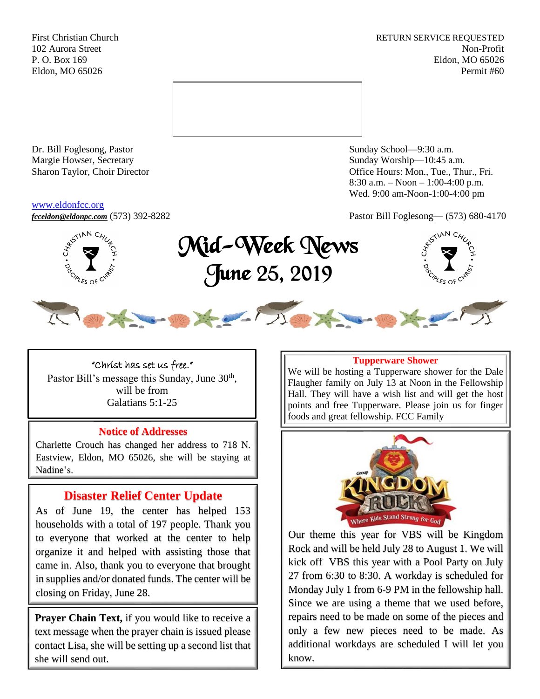First Christian Church **RETURN SERVICE REQUESTED** 102 Aurora Street Non-Profit P. O. Box 169 Eldon, MO 65026 Eldon, MO 65026 Permit #60



Dr. Bill Foglesong, Pastor Sunday School—9:30 a.m. Margie Howser, Secretary Sunday Worship—10:45 a.m.

#### [www.eldonfcc.org](http://www.eldonfcc.org/)

Sharon Taylor, Choir Director **Calcular Control** Control Control Control Control Control Control Control Control Control Control Control Control Control Control Control Control Control Control Control Control Control Contr 8:30 a.m. – Noon – 1:00-4:00 p.m. Wed. 9:00 am-Noon-1:00-4:00 pm

*[fcceldon@eldonpc.com](mailto:fcceldon@eldonpc.com)* (573) 392-8282 Pastor Bill Foglesong— (573) 680-4170



Mid-Week News June 25, 2019





"Christ has set us free." Pastor Bill's message this Sunday, June 30<sup>th</sup>, will be from Galatians 5:1-25

### **Notice of Addresses**

Charlette Crouch has changed her address to 718 N. Eastview, Eldon, MO 65026, she will be staying at Nadine's.

# **Disaster Relief Center Update**

As of June 19, the center has helped 153 households with a total of 197 people. Thank you to everyone that worked at the center to help organize it and helped with assisting those that came in. Also, thank you to everyone that brought in supplies and/or donated funds. The center will be closing on Friday, June 28.

**Prayer Chain Text,** if you would like to receive a text message when the prayer chain is issued please contact Lisa, she will be setting up a second list that she will send out.

#### **Tupperware Shower**

We will be hosting a Tupperware shower for the Dale Flaugher family on July 13 at Noon in the Fellowship Hall. They will have a wish list and will get the host points and free Tupperware. Please join us for finger foods and great fellowship. FCC Family



Our theme this year for VBS will be Kingdom Rock and will be held July 28 to August 1. We will kick off VBS this year with a Pool Party on July 27 from 6:30 to 8:30. A workday is scheduled for Monday July 1 from 6-9 PM in the fellowship hall. Since we are using a theme that we used before, repairs need to be made on some of the pieces and only a few new pieces need to be made. As additional workdays are scheduled I will let you know.